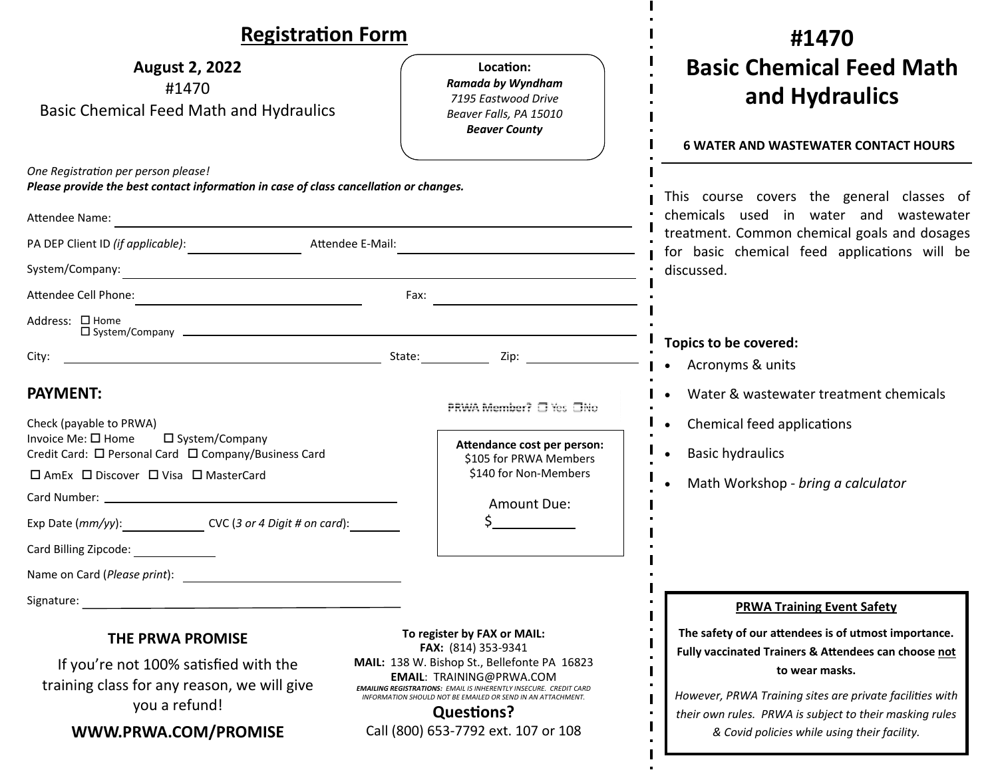| <b>Registration Form</b>                                                                                                                                                                                                                                                                          |                                                                                                                                                                                                                                                                                                                                              | #1470                                                                                                                                                                                                                                                                                                 |
|---------------------------------------------------------------------------------------------------------------------------------------------------------------------------------------------------------------------------------------------------------------------------------------------------|----------------------------------------------------------------------------------------------------------------------------------------------------------------------------------------------------------------------------------------------------------------------------------------------------------------------------------------------|-------------------------------------------------------------------------------------------------------------------------------------------------------------------------------------------------------------------------------------------------------------------------------------------------------|
| <b>August 2, 2022</b><br>#1470<br><b>Basic Chemical Feed Math and Hydraulics</b>                                                                                                                                                                                                                  | Location:<br>Ramada by Wyndham<br>7195 Eastwood Drive<br>Beaver Falls, PA 15010<br><b>Beaver County</b>                                                                                                                                                                                                                                      | <b>Basic Chemical Feed Math</b><br>and Hydraulics<br><b>6 WATER AND WASTEWATER CONTACT HOURS</b>                                                                                                                                                                                                      |
| One Registration per person please!<br>Please provide the best contact information in case of class cancellation or changes.                                                                                                                                                                      |                                                                                                                                                                                                                                                                                                                                              | This course covers the general classes of<br>chemicals used in water and wastewater<br>treatment. Common chemical goals and dosages<br>for basic chemical feed applications will be<br>discussed.                                                                                                     |
| Attendee Name:                                                                                                                                                                                                                                                                                    |                                                                                                                                                                                                                                                                                                                                              |                                                                                                                                                                                                                                                                                                       |
| Attendee E-Mail:                                                                                                                                                                                                                                                                                  |                                                                                                                                                                                                                                                                                                                                              |                                                                                                                                                                                                                                                                                                       |
|                                                                                                                                                                                                                                                                                                   |                                                                                                                                                                                                                                                                                                                                              |                                                                                                                                                                                                                                                                                                       |
|                                                                                                                                                                                                                                                                                                   |                                                                                                                                                                                                                                                                                                                                              |                                                                                                                                                                                                                                                                                                       |
| Address: □ Home                                                                                                                                                                                                                                                                                   |                                                                                                                                                                                                                                                                                                                                              |                                                                                                                                                                                                                                                                                                       |
| City:                                                                                                                                                                                                                                                                                             |                                                                                                                                                                                                                                                                                                                                              | Topics to be covered:<br>Acronyms & units                                                                                                                                                                                                                                                             |
| <b>PAYMENT:</b><br>Check (payable to PRWA)<br>Invoice Me: □ Home<br>□ System/Company<br>Credit Card: □ Personal Card □ Company/Business Card<br>□ AmEx □ Discover □ Visa □ MasterCard<br>Exp Date (mm/yy): CVC (3 or 4 Digit # on card):<br>Card Billing Zipcode:<br>Name on Card (Please print): | PRWA Member? □ Yes □No<br>Attendance cost per person:<br>\$105 for PRWA Members<br>\$140 for Non-Members<br>Amount Due:<br>$\zeta$ and $\zeta$                                                                                                                                                                                               | Water & wastewater treatment chemicals<br>Chemical feed applications<br><b>Basic hydraulics</b><br>Math Workshop - bring a calculator                                                                                                                                                                 |
| Signature:                                                                                                                                                                                                                                                                                        |                                                                                                                                                                                                                                                                                                                                              | <b>PRWA Training Event Safety</b>                                                                                                                                                                                                                                                                     |
| THE PRWA PROMISE<br>If you're not 100% satisfied with the<br>training class for any reason, we will give<br>you a refund!<br>WWW.PRWA.COM/PROMISE                                                                                                                                                 | To register by FAX or MAIL:<br>FAX: (814) 353-9341<br>MAIL: 138 W. Bishop St., Bellefonte PA 16823<br><b>EMAIL: TRAINING@PRWA.COM</b><br><b>EMAILING REGISTRATIONS: EMAIL IS INHERENTLY INSECURE. CREDIT CARD</b><br>INFORMATION SHOULD NOT BE EMAILED OR SEND IN AN ATTACHMENT.<br><b>Questions?</b><br>Call (800) 653-7792 ext. 107 or 108 | The safety of our attendees is of utmost importance.<br>Fully vaccinated Trainers & Attendees can choose not<br>to wear masks.<br>However, PRWA Training sites are private facilities with<br>their own rules. PRWA is subject to their masking rules<br>& Covid policies while using their facility. |